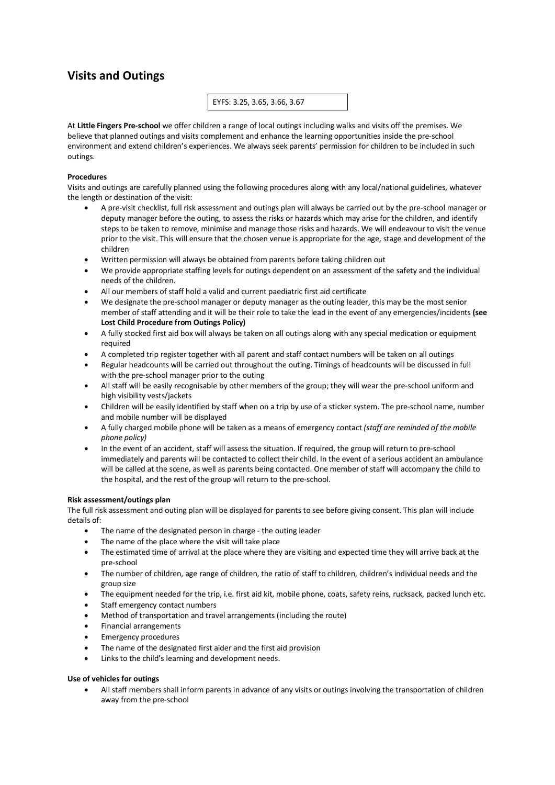# **Visits and Outings**

# EYFS: 3.25, 3.65, 3.66, 3.67

At **Little Fingers Pre-school** we offer children a range of local outings including walks and visits off the premises. We believe that planned outings and visits complement and enhance the learning opportunities inside the pre-school environment and extend children's experiences. We always seek parents' permission for children to be included in such outings.

# **Procedures**

Visits and outings are carefully planned using the following procedures along with any local/national guidelines, whatever the length or destination of the visit:

- A pre-visit checklist, full risk assessment and outings plan will always be carried out by the pre-school manager or deputy manager before the outing, to assess the risks or hazards which may arise for the children, and identify steps to be taken to remove, minimise and manage those risks and hazards. We will endeavour to visit the venue prior to the visit. This will ensure that the chosen venue is appropriate for the age, stage and development of the children
- Written permission will always be obtained from parents before taking children out
- We provide appropriate staffing levels for outings dependent on an assessment of the safety and the individual needs of the children.
- All our members of staff hold a valid and current paediatric first aid certificate
- We designate the pre-school manager or deputy manager as the outing leader, this may be the most senior member of staff attending and it will be their role to take the lead in the event of any emergencies/incidents **(see Lost Child Procedure from Outings Policy)**
- A fully stocked first aid box will always be taken on all outings along with any special medication or equipment required
- A completed trip register together with all parent and staff contact numbers will be taken on all outings
- Regular headcounts will be carried out throughout the outing. Timings of headcounts will be discussed in full with the pre-school manager prior to the outing
- All staff will be easily recognisable by other members of the group; they will wear the pre-school uniform and high visibility vests/jackets
- Children will be easily identified by staff when on a trip by use of a sticker system. The pre-school name, number and mobile number will be displayed
- A fully charged mobile phone will be taken as a means of emergency contact *(staff are reminded of the mobile phone policy)*
- In the event of an accident, staff will assess the situation. If required, the group will return to pre-school immediately and parents will be contacted to collect their child. In the event of a serious accident an ambulance will be called at the scene, as well as parents being contacted. One member of staff will accompany the child to the hospital, and the rest of the group will return to the pre-school.

# **Risk assessment/outings plan**

The full risk assessment and outing plan will be displayed for parents to see before giving consent. This plan will include details of:

- The name of the designated person in charge the outing leader
- The name of the place where the visit will take place
- The estimated time of arrival at the place where they are visiting and expected time they will arrive back at the pre-school
- The number of children, age range of children, the ratio of staff to children, children's individual needs and the group size
- The equipment needed for the trip, i.e. first aid kit, mobile phone, coats, safety reins, rucksack, packed lunch etc.
- Staff emergency contact numbers
- Method of transportation and travel arrangements (including the route)
- Financial arrangements
- Emergency procedures
- The name of the designated first aider and the first aid provision
- Links to the child's learning and development needs.

# **Use of vehicles for outings**

• All staff members shall inform parents in advance of any visits or outings involving the transportation of children away from the pre-school